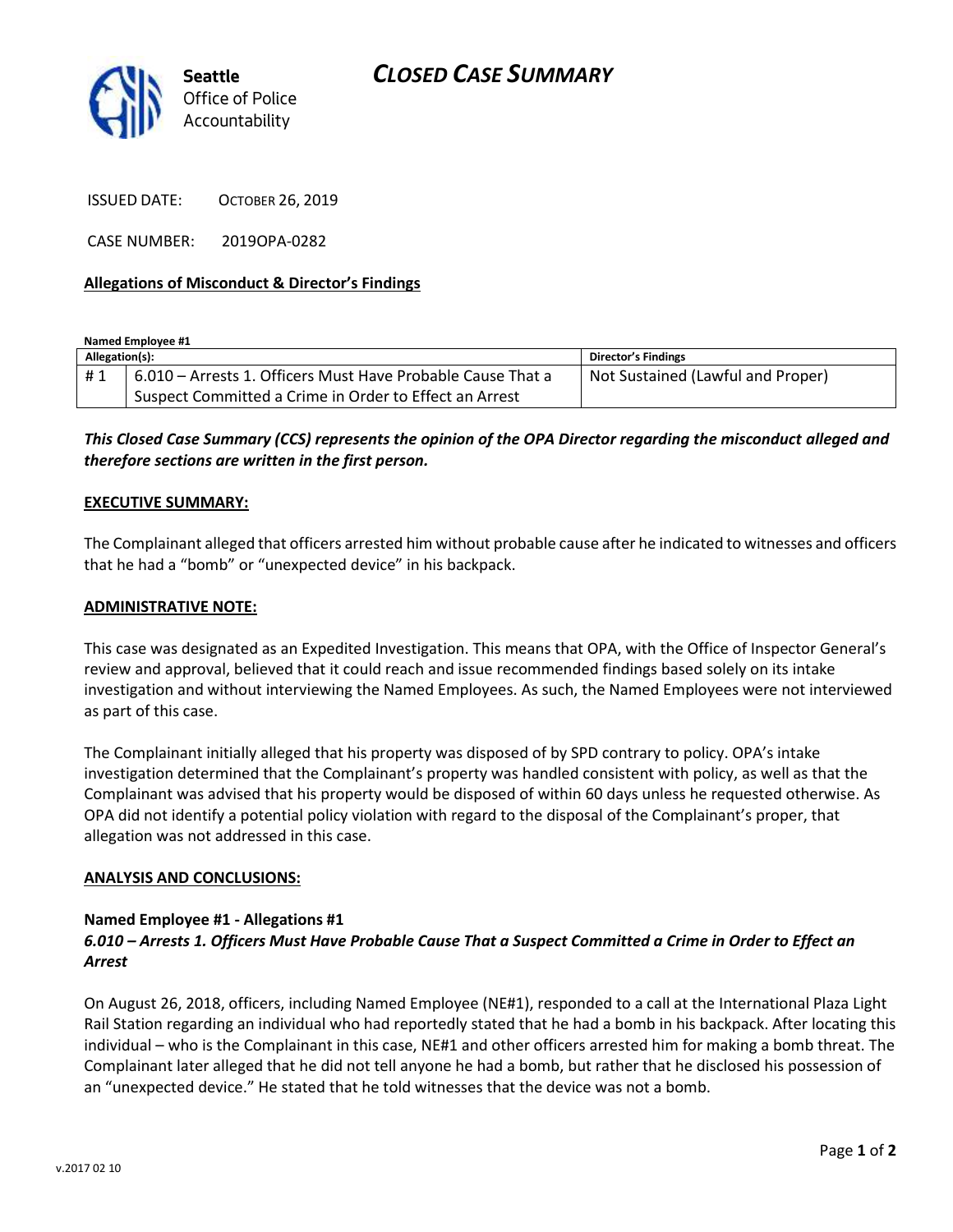

ISSUED DATE: OCTOBER 26, 2019

CASE NUMBER: 2019OPA-0282

## **Allegations of Misconduct & Director's Findings**

**Named Employee #1**

| Allegation(s): |                                                             | Director's Findings               |
|----------------|-------------------------------------------------------------|-----------------------------------|
| #1             | 6.010 - Arrests 1. Officers Must Have Probable Cause That a | Not Sustained (Lawful and Proper) |
|                | Suspect Committed a Crime in Order to Effect an Arrest      |                                   |

*This Closed Case Summary (CCS) represents the opinion of the OPA Director regarding the misconduct alleged and therefore sections are written in the first person.* 

#### **EXECUTIVE SUMMARY:**

The Complainant alleged that officers arrested him without probable cause after he indicated to witnesses and officers that he had a "bomb" or "unexpected device" in his backpack.

#### **ADMINISTRATIVE NOTE:**

This case was designated as an Expedited Investigation. This means that OPA, with the Office of Inspector General's review and approval, believed that it could reach and issue recommended findings based solely on its intake investigation and without interviewing the Named Employees. As such, the Named Employees were not interviewed as part of this case.

The Complainant initially alleged that his property was disposed of by SPD contrary to policy. OPA's intake investigation determined that the Complainant's property was handled consistent with policy, as well as that the Complainant was advised that his property would be disposed of within 60 days unless he requested otherwise. As OPA did not identify a potential policy violation with regard to the disposal of the Complainant's proper, that allegation was not addressed in this case.

#### **ANALYSIS AND CONCLUSIONS:**

### **Named Employee #1 - Allegations #1**

## *6.010 – Arrests 1. Officers Must Have Probable Cause That a Suspect Committed a Crime in Order to Effect an Arrest*

On August 26, 2018, officers, including Named Employee (NE#1), responded to a call at the International Plaza Light Rail Station regarding an individual who had reportedly stated that he had a bomb in his backpack. After locating this individual – who is the Complainant in this case, NE#1 and other officers arrested him for making a bomb threat. The Complainant later alleged that he did not tell anyone he had a bomb, but rather that he disclosed his possession of an "unexpected device." He stated that he told witnesses that the device was not a bomb.